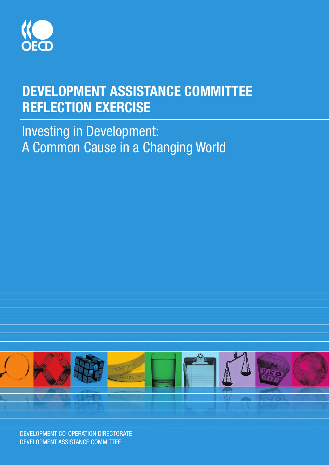

# DEVELOPMENT ASSISTANCE COMMITTEE REFLECTION EXERCISE

Investing in Development: A Common Cause in a Changing World

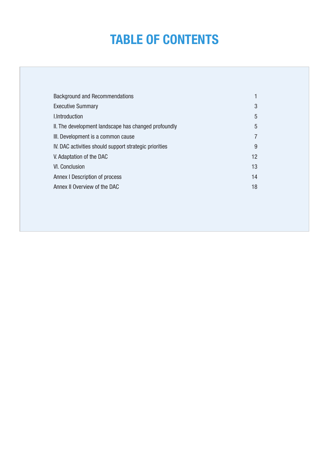# **Table of Contents**

| <b>Background and Recommendations</b>                  |                |
|--------------------------------------------------------|----------------|
| <b>Executive Summary</b>                               | 3              |
| I.Introduction                                         | 5              |
| II. The development landscape has changed profoundly   | 5              |
| III. Development is a common cause                     | $\overline{7}$ |
| IV. DAC activities should support strategic priorities | 9              |
| V. Adaptation of the DAC                               | 12             |
| VI. Conclusion                                         | 13             |
| Annex I Description of process                         | 14             |
| Annex II Overview of the DAC                           | 18             |
|                                                        |                |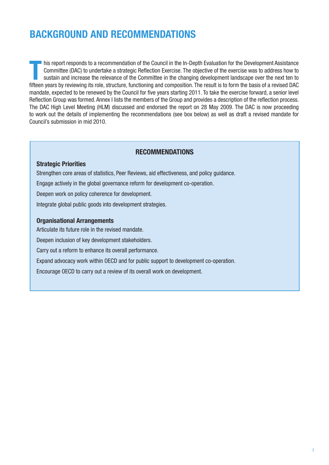# **BACKGROUND AND RECOMMENDATIONS**

This report responds to a recommendation of the Council in the In-Depth Evaluation for the Development Assistance<br>Committee (DAC) to undertake a strategic Reflection Exercise. The objective of the exercise was to address h his report responds to a recommendation of the Council in the In-Depth Evaluation for the Development Assistance Committee (DAC) to undertake a strategic Reflection Exercise. The objective of the exercise was to address how to sustain and increase the relevance of the Committee in the changing development landscape over the next ten to mandate, expected to be renewed by the Council for five years starting 2011. To take the exercise forward, a senior level Reflection Group was formed. Annex I lists the members of the Group and provides a description of the reflection process. The DAC High Level Meeting (HLM) discussed and endorsed the report on 28 May 2009. The DAC is now proceeding to work out the details of implementing the recommendations (see box below) as well as draft a revised mandate for Council's submission in mid 2010.

#### **Recommendations**

#### **Strategic Priorities**

Strengthen core areas of statistics, Peer Reviews, aid effectiveness, and policy guidance.

Engage actively in the global governance reform for development co-operation.

Deepen work on policy coherence for development.

Integrate global public goods into development strategies.

#### **Organisational Arrangements**

Articulate its future role in the revised mandate.

Deepen inclusion of key development stakeholders.

Carry out a reform to enhance its overall performance.

Expand advocacy work within OECD and for public support to development co-operation.

Encourage OECD to carry out a review of its overall work on development.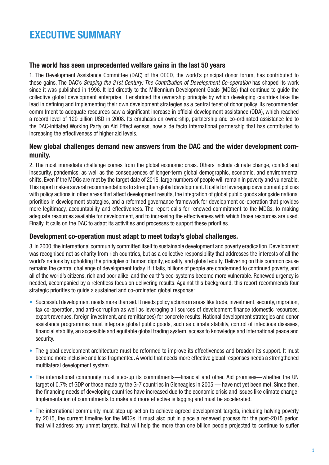# **EXECUTIVE SUMMARY**

### **The world has seen unprecedented welfare gains in the last 50 years**

1. The Development Assistance Committee (DAC) of the OECD, the world's principal donor forum, has contributed to these gains. The DAC's *Shaping the 21st Century: The Contribution of Development Co-operation* has shaped its work since it was published in 1996. It led directly to the Millennium Development Goals (MDGs) that continue to guide the collective global development enterprise. It enshrined the ownership principle by which developing countries take the lead in defining and implementing their own development strategies as a central tenet of donor policy. Its recommended commitment to adequate resources saw a significant increase in official development assistance (ODA), which reached a record level of 120 billion USD in 2008. Its emphasis on ownership, partnership and co-ordinated assistance led to the DAC-initiated Working Party on Aid Effectiveness, now a de facto international partnership that has contributed to increasing the effectiveness of higher aid levels.

### **New global challenges demand new answers from the DAC and the wider development community.**

2. The most immediate challenge comes from the global economic crisis. Others include climate change, conflict and insecurity, pandemics, as well as the consequences of longer-term global demographic, economic, and environmental shifts. Even if the MDGs are met by the target date of 2015, large numbers of people will remain in poverty and vulnerable. This report makes several recommendations to strengthen global development. It calls for leveraging development policies with policy actions in other areas that affect development results, the integration of global public goods alongside national priorities in development strategies, and a reformed governance framework for development co-operation that provides more legitimacy, accountability and effectiveness. The report calls for renewed commitment to the MDGs, to making adequate resources available for development, and to increasing the effectiveness with which those resources are used. Finally, it calls on the DAC to adapt its activities and processes to support these priorities.

### **Development co-operation must adapt to meet today's global challenges.**

3. In 2000, the international community committed itself to sustainable development and poverty eradication. Development was recognised not as charity from rich countries, but as a collective responsibility that addresses the interests of all the world's nations by upholding the principles of human dignity, equality, and global equity. Delivering on this common cause remains the central challenge of development today. If it fails, billions of people are condemned to continued poverty, and all of the world's citizens, rich and poor alike, and the earth's eco-systems become more vulnerable. Renewed urgency is needed, accompanied by a relentless focus on delivering results. Against this background, this report recommends four strategic priorities to guide a sustained and co-ordinated global response:

- Successful development needs more than aid. It needs policy actions in areas like trade, investment, security, migration, tax co-operation, and anti-corruption as well as leveraging all sources of development finance (domestic resources, export revenues, foreign investment, and remittances) for concrete results. National development strategies and donor assistance programmes must integrate global public goods, such as climate stability, control of infectious diseases, financial stability, an accessible and equitable global trading system, access to knowledge and international peace and security.
- The global development architecture must be reformed to improve its effectiveness and broaden its support. It must become more inclusive and less fragmented. A world that needs more effective global responses needs a strengthened multilateral development system.
- The international community must step-up its commitments—financial and other. Aid promises—whether the UN target of 0.7% of GDP or those made by the G-7 countries in Gleneagles in 2005 — have not yet been met. Since then, the financing needs of developing countries have increased due to the economic crisis and issues like climate change. Implementation of commitments to make aid more effective is lagging and must be accelerated.
- The international community must step up action to achieve agreed development targets, including halving poverty by 2015, the current timeline for the MDGs. It must also put in place a renewed process for the post-2015 period that will address any unmet targets, that will help the more than one billion people projected to continue to suffer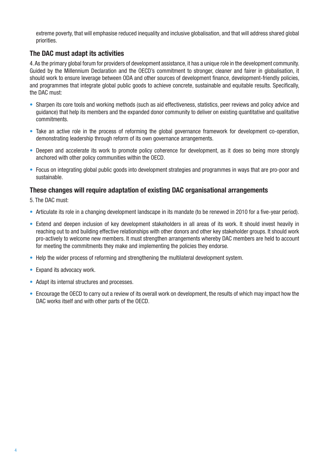extreme poverty, that will emphasise reduced inequality and inclusive globalisation, and that will address shared global priorities.

### **The DAC must adapt its activities**

4. As the primary global forum for providers of development assistance, it has a unique role in the development community. Guided by the Millennium Declaration and the OECD's commitment to stronger, cleaner and fairer in globalisation, it should work to ensure leverage between ODA and other sources of development finance, development-friendly policies, and programmes that integrate global public goods to achieve concrete, sustainable and equitable results. Specifically, the DAC must:

- Sharpen its core tools and working methods (such as aid effectiveness, statistics, peer reviews and policy advice and guidance) that help its members and the expanded donor community to deliver on existing quantitative and qualitative commitments.
- Take an active role in the process of reforming the global governance framework for development co-operation, demonstrating leadership through reform of its own governance arrangements.
- Deepen and accelerate its work to promote policy coherence for development, as it does so being more strongly anchored with other policy communities within the OECD.
- Focus on integrating global public goods into development strategies and programmes in ways that are pro-poor and sustainable.

### **These changes will require adaptation of existing DAC organisational arrangements**

5. The DAC must:

- Articulate its role in a changing development landscape in its mandate (to be renewed in 2010 for a five-year period).
- Extend and deepen inclusion of key development stakeholders in all areas of its work. It should invest heavily in reaching out to and building effective relationships with other donors and other key stakeholder groups. It should work pro-actively to welcome new members. It must strengthen arrangements whereby DAC members are held to account for meeting the commitments they make and implementing the policies they endorse.
- Help the wider process of reforming and strengthening the multilateral development system.
- Expand its advocacy work.
- Adapt its internal structures and processes.
- Encourage the OECD to carry out a review of its overall work on development, the results of which may impact how the •DAC works itself and with other parts of the OECD.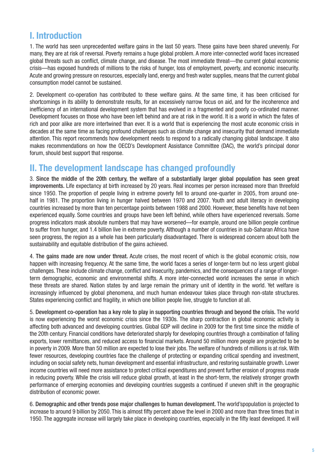### **I. Introduction**

1. The world has seen unprecedented welfare gains in the last 50 years. These gains have been shared unevenly. For many, they are at risk of reversal. Poverty remains a huge global problem. A more inter-connected world faces increased global threats such as conflict, climate change, and disease. The most immediate threat—the current global economic crisis—has exposed hundreds of millions to the risks of hunger, loss of employment, poverty, and economic insecurity. Acute and growing pressure on resources, especially land, energy and fresh water supplies, means that the current global consumption model cannot be sustained.

2. Development co-operation has contributed to these welfare gains. At the same time, it has been criticised for shortcomings in its ability to demonstrate results, for an excessively narrow focus on aid, and for the incoherence and inefficiency of an international development system that has evolved in a fragmented and poorly co-ordinated manner. Development focuses on those who have been left behind and are at risk in the world. It is a world in which the fates of rich and poor alike are more intertwined than ever. It is a world that is experiencing the most acute economic crisis in decades at the same time as facing profound challenges such as climate change and insecurity that demand immediate attention. This report recommends how development needs to respond to a radically changing global landscape. It also makes recommendations on how the OECD's Development Assistance Committee (DAC), the world's principal donor forum, should best support that response.

### **II. The development landscape has changed profoundly**

3. Since the middle of the 20th century, the welfare of a substantially larger global population has seen great improvements. Life expectancy at birth increased by 20 years. Real incomes per person increased more than threefold since 1950. The proportion of people living in extreme poverty fell to around one-quarter in 2005, from around onehalf in 1981. The proportion living in hunger halved between 1970 and 2007. Youth and adult literacy in developing countries increased by more than ten percentage points between 1988 and 2000. However, these benefits have not been experienced equally. Some countries and groups have been left behind, while others have experienced reversals. Some progress indicators mask absolute numbers that may have worsened—for example, around one billion people continue to suffer from hunger, and 1.4 billion live in extreme poverty. Although a number of countries in sub-Saharan Africa have seen progress, the region as a whole has been particularly disadvantaged. There is widespread concern about both the sustainability and equitable distribution of the gains achieved.

4. The gains made are now under threat. Acute crises, the most recent of which is the global economic crisis, now happen with increasing frequency. At the same time, the world faces a series of longer-term but no less urgent global challenges. These include climate change, conflict and insecurity, pandemics, and the consequences of a range of longerterm demographic, economic and environmental shifts. A more inter-connected world increases the sense in which these threats are shared. Nation states by and large remain the primary unit of identity in the world. Yet welfare is increasingly influenced by global phenomena, and much human endeavour takes place through non-state structures. States experiencing conflict and fragility, in which one billion people live, struggle to function at all.

5. Development co-operation has a key role to play in supporting countries through and beyond the crisis. The world is now experiencing the worst economic crisis since the 1930s. The sharp contraction in global economic activity is affecting both advanced and developing countries. Global GDP will decline in 2009 for the first time since the middle of the 20th century. Financial conditions have deteriorated sharply for developing countries through a combination of falling exports, lower remittances, and reduced access to financial markets. Around 50 million more people are projected to be in poverty in 2009. More than 50 million are expected to lose their jobs. The welfare of hundreds of millions is at risk. With fewer resources, developing countries face the challenge of protecting or expanding critical spending and investment, including on social safety nets, human development and essential infrastructure, and restoring sustainable growth. Lower income countries will need more assistance to protect critical expenditures and prevent further erosion of progress made in reducing poverty. While the crisis will reduce global growth, at least in the short-term, the relatively stronger growth performance of emerging economies and developing countries suggests a continued if uneven shift in the geographic distribution of economic power.

6. Demographic and other trends pose major challenges to human development. The world'spopulation is projected to increase to around 9 billion by 2050. This is almost fifty percent above the level in 2000 and more than three times that in 1950. The aggregate increase will largely take place in developing countries, especially in the fifty least developed. It will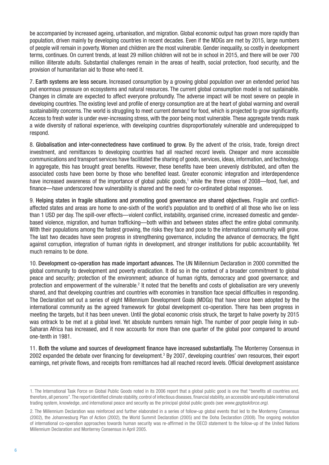be accompanied by increased ageing, urbanisation, and migration. Global economic output has grown more rapidly than population, driven mainly by developing countries in recent decades. Even if the MDGs are met by 2015, large numbers of people will remain in poverty. Women and children are the most vulnerable. Gender inequality, so costly in development terms, continues. On current trends, at least 29 million children will not be in school in 2015, and there will be over 700 million illiterate adults. Substantial challenges remain in the areas of health, social protection, food security, and the provision of humanitarian aid to those who need it.

7. Earth systems are less secure. Increased consumption by a growing global population over an extended period has put enormous pressure on ecosystems and natural resources. The current global consumption model is not sustainable. Changes in climate are expected to affect everyone profoundly. The adverse impact will be most severe on people in developing countries. The existing level and profile of energy consumption are at the heart of global warming and overall sustainability concerns. The world is struggling to meet current demand for food, which is projected to grow significantly. Access to fresh water is under ever-increasing stress, with the poor being most vulnerable. These aggregate trends mask a wide diversity of national experience, with developing countries disproportionately vulnerable and underequipped to respond.

8. Globalisation and inter-connectedness have continued to grow. By the advent of the crisis, trade, foreign direct investment, and remittances to developing countries had all reached record levels. Cheaper and more accessible communications and transport services have facilitated the sharing of goods, services, ideas, information, and technology. In aggregate, this has brought great benefits. However, these benefits have been unevenly distributed, and often the associated costs have been borne by those who benefited least. Greater economic integration and interdependence have increased awareness of the importance of global public goods,<sup>1</sup> while the three crises of 2008—food, fuel, and finance—have underscored how vulnerability is shared and the need for co-ordinated global responses.

9. Helping states in fragile situations and promoting good governance are shared objectives. Fragile and conflictaffected states and areas are home to one-sixth of the world's population and to onethird of all those who live on less than 1 USD per day. The spill-over effects—violent conflict, instability, organised crime, increased domestic and genderbased violence, migration, and human trafficking—both within and between states affect the entire global community. With their populations among the fastest growing, the risks they face and pose to the international community will grow. The last two decades have seen progress in strengthening governance, including the advance of democracy, the fight against corruption, integration of human rights in development, and stronger institutions for public accountability. Yet much remains to be done.

10. Development co-operation has made important advances. The UN Millennium Declaration in 2000 committed the global community to development and poverty eradication. It did so in the context of a broader commitment to global peace and security; protection of the environment; advance of human rights, democracy and good governance; and protection and empowerment of the vulnerable.<sup>2</sup> It noted that the benefits and costs of globalisation are very unevenly shared, and that developing countries and countries with economies in transition face special difficulties in responding. The Declaration set out a series of eight Millennium Development Goals (MDGs) that have since been adopted by the international community as the agreed framework for global development co-operation. There has been progress in meeting the targets, but it has been uneven. Until the global economic crisis struck, the target to halve poverty by 2015 was ontrack to be met at a global level. Yet absolute numbers remain high. The number of poor people living in sub-Saharan Africa has increased, and it now accounts for more than one quarter of the global poor compared to around one-tenth in 1981.

11. Both the volume and sources of development finance have increased substantially. The Monterrey Consensus in 2002 expanded the debate over financing for development.<sup>3</sup> By 2007, developing countries' own resources, their export earnings, net private flows, and receipts from remittances had all reached record levels. Official development assistance

<sup>1.</sup> The International Task Force on Global Public Goods noted in its 2006 report that a global public good is one that "benefits all countries and, therefore, all persons". The report identified climate stability, control of infectious diseases, financial stability, an accessible and equitable international trading system, knowledge, and international peace and security as the principal global public goods (see *www.gpgtaskforce.org).*

<sup>2.</sup> The Millennium Declaration was reinforced and further elaborated in a series of follow-up global events that led to the Monterrey Consensus (2002), the Johannesburg Plan of Action (2002), the World Summit Declaration (2005) and the Doha Declaration (2008). The ongoing evolution of international co-operation approaches towards human security was re-affirmed in the OECD statement to the follow-up of the United Nations Millennium Declaration and Monterrey Consensus in April 2005.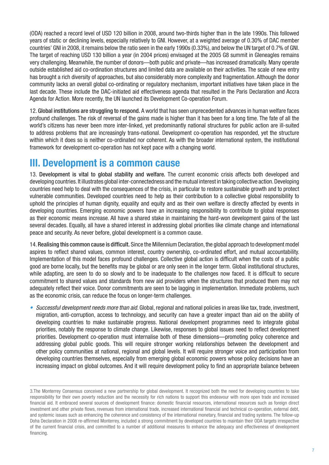(ODA) reached a record level of USD 120 billion in 2008, around two-thirds higher than in the late 1990s. This followed years of static or declining levels, especially relatively to GNI. However, at a weighted average of 0.30% of DAC member countries' GNI in 2008, it remains below the ratio seen in the early 1990s (0.33%), and below the UN target of 0.7% of GNI. The target of reaching USD 130 billion a year (in 2004 prices) envisaged at the 2005 G8 summit in Gleneagles remains very challenging. Meanwhile, the number of donors—both public and private—has increased dramatically. Many operate outside established aid co-ordination structures and limited data are available on their activities. The scale of new entry has brought a rich diversity of approaches, but also considerably more complexity and fragmentation. Although the donor community lacks an overall global co-ordinating or regulatory mechanism, important initiatives have taken place in the last decade. These include the DAC-initiated aid effectiveness agenda that resulted in the Paris Declaration and Accra Agenda for Action. More recently, the UN launched its Development Co-operation Forum.

12. Global institutions are struggling to respond. A world that has seen unprecedented advances in human welfare faces profound challenges. The risk of reversal of the gains made is higher than it has been for a long time. The fate of all the world's citizens has never been more inter-linked, yet predominantly national structures for public action are ill-suited to address problems that are increasingly trans-national. Development co-operation has responded, yet the structure within which it does so is neither co-ordinated nor coherent. As with the broader international system, the institutional framework for development co-operation has not kept pace with a changing world.

### **III. Development is a common cause**

13. Development is vital to global stability and welfare. The current economic crisis affects both developed and developing countries. It illustrates global inter-connectedness and the mutual interest in taking collective action. Developing countries need help to deal with the consequences of the crisis, in particular to restore sustainable growth and to protect vulnerable communities. Developed countries need to help as their contribution to a collective global responsibility to uphold the principles of human dignity, equality and equity and as their own welfare is directly affected by events in developing countries. Emerging economic powers have an increasing responsibility to contribute to global responses as their economic means increase. All have a shared stake in maintaining the hard-won development gains of the last several decades. Equally, all have a shared interest in addressing global priorities like climate change and international peace and security. As never before, global development is a common cause.

14. Realising this common cause is difficult. Since the Millennium Declaration, the global approach to development model aspires to reflect shared values, common interest, country ownership, co-ordinated effort, and mutual accountability. Implementation of this model faces profound challenges. Collective global action is difficult when the costs of a public good are borne locally, but the benefits may be global or are only seen in the longer term. Global institutional structures, while adapting, are seen to do so slowly and to be inadequate to the challenges now faced. It is difficult to secure commitment to shared values and standards from new aid providers when the structures that produced them may not adequately reflect their voice. Donor commitments are seen to be lagging in implementation. Immediate problems, such as the economic crisis, can reduce the focus on longer-term challenges.

*Successful development needs more than aid.* Global, regional and national policies in areas like tax, trade, investment, *•* migration, anti-corruption, access to technology, and security can have a greater impact than aid on the ability of developing countries to make sustainable progress. National development programmes need to integrate global priorities, notably the response to climate change. Likewise, responses to global issues need to reflect development priorities. Development co-operation must internalise both of these dimensions—promoting policy coherence and addressing global public goods. This will require stronger working relationships between the development and other policy communities at national, regional and global levels. It will require stronger voice and participation from developing countries themselves, especially from emerging global economic powers whose policy decisions have an increasing impact on global outcomes. And it will require development policy to find an appropriate balance between

<sup>3.</sup>The Monterrey Consensus conceived a new partnership for global development. It recognized both the need for developing countries to take responsibility for their own poverty reduction and the necessity for rich nations to support this endeavour with more open trade and increased financial aid. It embraced several sources of development finance: domestic financial resources, international resources such as foreign direct investment and other private flows, revenues from international trade, increased international financial and technical co-operation, external debt, and systemic issues such as enhancing the coherence and consistency of the international monetary, financial and trading systems. The follow-up Doha Declaration in 2008 re-affirmed Monterrey, included a strong commitment by developed countries to maintain their ODA targets irrespective of the current financial crisis, and committed to a number of additional measures to enhance the adequacy and effectiveness of development financing.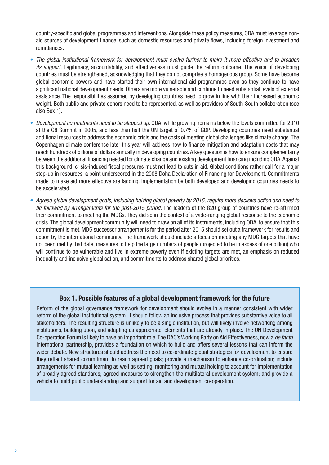country-specific and global programmes and interventions. Alongside these policy measures, ODA must leverage nonaid sources of development finance, such as domestic resources and private flows, including foreign investment and remittances.

- The global institutional framework for development must evolve further to make it more effective and to broaden *its support.* Legitimacy, accountability, and effectiveness must guide the reform outcome. The voice of developing countries must be strengthened, acknowledging that they do not comprise a homogenous group. Some have become global economic powers and have started their own international aid programmes even as they continue to have significant national development needs. Others are more vulnerable and continue to need substantial levels of external assistance. The responsibilities assumed by developing countries need to grow in line with their increased economic weight. Both public and private donors need to be represented, as well as providers of South-South collaboration (see also Box 1).
- Development commitments need to be stepped up. ODA, while growing, remains below the levels committed for 2010 at the G8 Summit in 2005, and less than half the UN target of 0.7% of GDP. Developing countries need substantial additional resources to address the economic crisis and the costs of meeting global challenges like climate change. The Copenhagen climate conference later this year will address how to finance mitigation and adaptation costs that may reach hundreds of billions of dollars annually in developing countries. A key question is how to ensure complementarity between the additional financing needed for climate change and existing development financing including ODA. Against this background, crisis-induced fiscal pressures must not lead to cuts in aid. Global conditions rather call for a major step-up in resources, a point underscored in the 2008 Doha Declaration of Financing for Development. Commitments made to make aid more effective are lagging. Implementation by both developed and developing countries needs to be accelerated.
- *Agreed global development goals, including halving global poverty by 2015, require more decisive action and need to • be followed by arrangements for the post-2015 period.* The leaders of the G20 group of countries have re-affirmed their commitment to meeting the MDGs. They did so in the context of a wide-ranging global response to the economic crisis. The global development community will need to draw on all of its instruments, including ODA, to ensure that this commitment is met. MDG successor arrangements for the period after 2015 should set out a framework for results and action by the international community. The framework should include a focus on meeting any MDG targets that have not been met by that date, measures to help the large numbers of people (projected to be in excess of one billion) who will continue to be vulnerable and live in extreme poverty even if existing targets are met, an emphasis on reduced inequality and inclusive globalisation, and commitments to address shared global priorities.

#### **Box 1. Possible features of a global development framework for the future**

Reform of the global governance framework for development should evolve in a manner consistent with wider reform of the global institutional system. It should follow an inclusive process that provides substantive voice to all stakeholders. The resulting structure is unlikely to be a single institution, but will likely involve networking among institutions, building upon, and adapting as appropriate, elements that are already in place. The UN Development Co-operation Forum is likely to have an important role. The DAC's Working Party on Aid Effectiveness, now a *de facto*  international partnership, provides a foundation on which to build and offers several lessons that can inform the wider debate. New structures should address the need to co-ordinate global strategies for development to ensure they reflect shared commitment to reach agreed goals; provide a mechanism to enhance co-ordination; include arrangements for mutual learning as well as setting, monitoring and mutual holding to account for implementation of broadly agreed standards; agreed measures to strengthen the multilateral development system; and provide a vehicle to build public understanding and support for aid and development co-operation.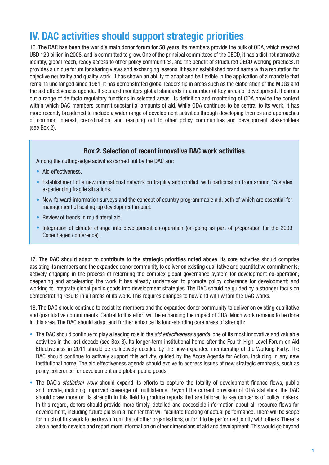## **IV. DAC activities should support strategic priorities**

16. The DAC has been the world's main donor forum for 50 years. Its members provide the bulk of ODA, which reached USD 120 billion in 2008, and is committed to grow. One of the principal committees of the OECD, it has a distinct normative identity, global reach, ready access to other policy communities, and the benefit of structured OECD working practices. It provides a unique forum for sharing views and exchanging lessons. It has an established brand name with a reputation for objective neutrality and quality work. It has shown an ability to adapt and be flexible in the application of a mandate that remains unchanged since 1961. It has demonstrated global leadership in areas such as the elaboration of the MDGs and the aid effectiveness agenda. It sets and monitors global standards in a number of key areas of development. It carries out a range of de facto regulatory functions in selected areas. Its definition and monitoring of ODA provide the context within which DAC members commit substantial amounts of aid. While ODA continues to be central to its work, it has more recently broadened to include a wider range of development activities through developing themes and approaches of common interest, co-ordination, and reaching out to other policy communities and development stakeholders (see Box 2).

### **Box 2. Selection of recent innovative DAC work activities**

Among the cutting-edge activities carried out by the DAC are:

- Aid effectiveness.
- Establishment of a new international network on fragility and conflict, with participation from around 15 states experiencing fragile situations.
- New forward information surveys and the concept of country programmable aid, both of which are essential for management of scaling-up development impact.
- Review of trends in multilateral aid.
- Integration of climate change into development co-operation (on-going as part of preparation for the 2009 Copenhagen conference).

17. The DAC should adapt to contribute to the strategic priorities noted above. Its core activities should comprise assisting its members and the expanded donor community to deliver on existing qualitative and quantitative commitments; actively engaging in the process of reforming the complex global governance system for development co-operation; deepening and accelerating the work it has already undertaken to promote policy coherence for development; and working to integrate global public goods into development strategies. The DAC should be guided by a stronger focus on demonstrating results in all areas of its work. This requires changes to how and with whom the DAC works.

18. The DAC should continue to assist its members and the expanded donor community to deliver on existing qualitative and quantitative commitments. Central to this effort will be enhancing the impact of ODA. Much work remains to be done in this area. The DAC should adapt and further enhance its long-standing core areas of strength:

- The DAC should continue to play a leading role in the *aid effectiveness agenda*, one of its most innovative and valuable activities in the last decade (see Box 3). Its longer-term institutional home after the Fourth High Level Forum on Aid Effectiveness in 2011 should be collectively decided by the now-expanded membership of the Working Party. The DAC should continue to actively support this activity, guided by the Accra Agenda for Action, including in any new institutional home. The aid effectiveness agenda should evolve to address issues of new strategic emphasis, such as policy coherence for development and global public goods.
- The DAC's *statistical work* should expand its efforts to capture the totality of development finance flows, public and private, including improved coverage of multilaterals. Beyond the current provision of ODA statistics, the DAC should draw more on its strength in this field to produce reports that are tailored to key concerns of policy makers. In this regard, donors should provide more timely, detailed and accessible information about all resource flows for development, including future plans in a manner that will facilitate tracking of actual performance. There will be scope for much of this work to be drawn from that of other organisations, or for it to be performed jointly with others. There is also a need to develop and report more information on other dimensions of aid and development. This would go beyond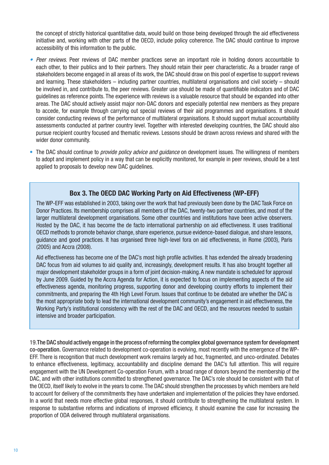the concept of strictly historical quantitative data, would build on those being developed through the aid effectiveness initiative and, working with other parts of the OECD, include policy coherence. The DAC should continue to improve accessibility of this information to the public.

- *Peer reviews*. Peer reviews of DAC member practices serve an important role in holding donors accountable to *•* each other, to their publics and to their partners. They should retain their peer characteristic. As a broader range of stakeholders become engaged in all areas of its work, the DAC should draw on this pool of expertise to support reviews and learning. These stakeholders – including partner countries, multilateral organisations and civil society – should be involved in, and contribute to, the peer reviews. Greater use should be made of quantifiable indicators and of DAC guidelines as reference points. The experience with reviews is a valuable resource that should be expanded into other areas. The DAC should actively assist major non-DAC donors and especially potential new members as they prepare to accede, for example through carrying out special reviews of their aid programmes and organisations. It should consider conducting reviews of the performance of multilateral organisations. It should support mutual accountability assessments conducted at partner country level. Together with interested developing countries, the DAC should also pursue recipient country focused and thematic reviews. Lessons should be drawn across reviews and shared with the wider donor community.
- The DAC should continue to *provide policy advice and guidance* on development issues. The willingness of members to adopt and implement policy in a way that can be explicitly monitored, for example in peer reviews, should be a test applied to proposals to develop new DAC guidelines.

### **Box 3. The OECD DAC Working Party on Aid Effectiveness (WP-EFF)**

The WP-EFF was established in 2003, taking over the work that had previously been done by the DAC Task Force on Donor Practices. Its membership comprises all members of the DAC, twenty-two partner countries, and most of the larger multilateral development organisations. Some other countries and institutions have been active observers. Hosted by the DAC, it has become the de facto international partnership on aid effectiveness. It uses traditional OECD methods to promote behavior change, share experience, pursue evidence-based dialogue, and share lessons, guidance and good practices. It has organised three high-level fora on aid effectiveness, in Rome (2003), Paris (2005) and Accra (2008).

Aid effectiveness has become one of the DAC's most high profile activities. It has extended the already broadening DAC focus from aid volumes to aid quality and, increasingly, development results. It has also brought together all major development stakeholder groups in a form of joint decision-making. A new mandate is scheduled for approval by June 2009. Guided by the Accra Agenda for Action, it is expected to focus on implementing aspects of the aid effectiveness agenda, monitoring progress, supporting donor and developing country efforts to implement their commitments, and preparing the 4th High Level Forum. Issues that continue to be debated are whether the DAC is the most appropriate body to lead the international development community's engagement in aid effectiveness, the Working Party's institutional consistency with the rest of the DAC and OECD, and the resources needed to sustain intensive and broader participation.

19.The DAC should actively engage in the process of reforming the complex global governance system for development co-operation. Governance related to development co-operation is evolving, most recently with the emergence of the WP-EFF. There is recognition that much development work remains largely ad hoc, fragmented, and unco-ordinated. Debates to enhance effectiveness, legitimacy, accountability and discipline demand the DAC's full attention. This will require engagement with the UN Development Co-operation Forum, with a broad range of donors beyond the membership of the DAC, and with other institutions committed to strengthened governance. The DAC's role should be consistent with that of the OECD, itself likely to evolve in the years to come. The DAC should strengthen the processes by which members are held to account for delivery of the commitments they have undertaken and implementation of the policies they have endorsed. In a world that needs more effective global responses, it should contribute to strengthening the multilateral system. In response to substantive reforms and indications of improved efficiency, it should examine the case for increasing the proportion of ODA delivered through multilateral organisations.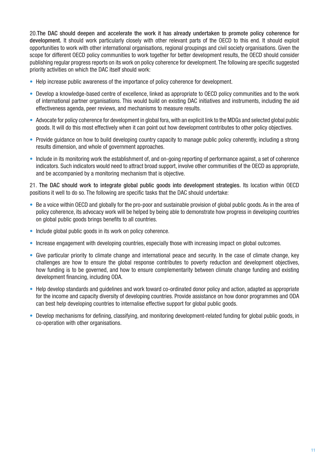20.The DAC should deepen and accelerate the work it has already undertaken to promote policy coherence for development. It should work particularly closely with other relevant parts of the OECD to this end. It should exploit opportunities to work with other international organisations, regional groupings and civil society organisations. Given the scope for different OECD policy communities to work together for better development results, the OECD should consider publishing regular progress reports on its work on policy coherence for development. The following are specific suggested priority activities on which the DAC itself should work:

- Help increase public awareness of the importance of policy coherence for development.
- Develop a knowledge-based centre of excellence, linked as appropriate to OECD policy communities and to the work of international partner organisations. This would build on existing DAC initiatives and instruments, including the aid effectiveness agenda, peer reviews, and mechanisms to measure results.
- Advocate for policy coherence for development in global fora, with an explicit link to the MDGs and selected global public goods. It will do this most effectively when it can point out how development contributes to other policy objectives.
- Provide guidance on how to build developing country capacity to manage public policy coherently, including a strong results dimension, and whole of government approaches.
- Include in its monitoring work the establishment of, and on-going reporting of performance against, a set of coherence indicators. Such indicators would need to attract broad support, involve other communities of the OECD as appropriate, and be accompanied by a monitoring mechanism that is objective.

21. The DAC should work to integrate global public goods into development strategies. Its location within OECD positions it well to do so. The following are specific tasks that the DAC should undertake:

- Be a voice within OECD and globally for the pro-poor and sustainable provision of global public goods. As in the area of policy coherence, its advocacy work will be helped by being able to demonstrate how progress in developing countries on global public goods brings benefits to all countries.
- Include global public goods in its work on policy coherence.
- Increase engagement with developing countries, especially those with increasing impact on global outcomes.
- Give particular priority to climate change and international peace and security. In the case of climate change, key challenges are how to ensure the global response contributes to poverty reduction and development objectives, how funding is to be governed, and how to ensure complementarity between climate change funding and existing development financing, including ODA.
- Help develop standards and guidelines and work toward co-ordinated donor policy and action, adapted as appropriate for the income and capacity diversity of developing countries. Provide assistance on how donor programmes and ODA can best help developing countries to internalise effective support for global public goods.
- Develop mechanisms for defining, classifying, and monitoring development-related funding for global public goods, in •co-operation with other organisations.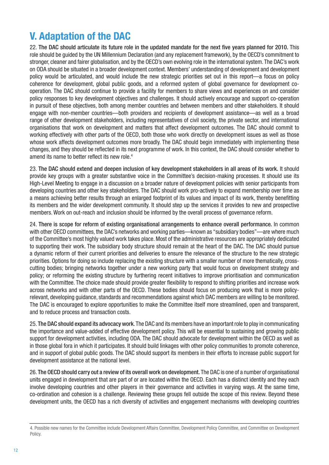# **V. Adaptation of the DAC**

22. The DAC should articulate its future role in the updated mandate for the next five years planned for 2010. This role should be guided by the UN Millennium Declaration (and any replacement framework), by the OECD's commitment to stronger, cleaner and fairer globalisation, and by the OECD's own evolving role in the international system. The DAC's work on ODA should be situated in a broader development context. Members' understanding of development and development policy would be articulated, and would include the new strategic priorities set out in this report—a focus on policy coherence for development, global public goods, and a reformed system of global governance for development cooperation. The DAC should continue to provide a facility for members to share views and experiences on and consider policy responses to key development objectives and challenges. It should actively encourage and support co-operation in pursuit of these objectives, both among member countries and between members and other stakeholders. It should engage with non-member countries—both providers and recipients of development assistance—as well as a broad range of other development stakeholders, including representatives of civil society, the private sector, and international organisations that work on development and matters that affect development outcomes. The DAC should commit to working effectively with other parts of the OECD, both those who work directly on development issues as well as those whose work affects development outcomes more broadly. The DAC should begin immediately with implementing these changes, and they should be reflected in its next programme of work. In this context, the DAC should consider whether to amend its name to better reflect its new role.<sup>4</sup>

23. The DAC should extend and deepen inclusion of key development stakeholders in all areas of its work. It should provide key groups with a greater substantive voice in the Committee's decision-making processes. It should use its High-Level Meeting to engage in a discussion on a broader nature of development policies with senior participants from developing countries and other key stakeholders. The DAC should work pro-actively to expand membership over time as a means achieving better results through an enlarged footprint of its values and impact of its work, thereby benefitting its members and the wider development community. It should step up the services it provides to new and prospective members. Work on out-reach and inclusion should be informed by the overall process of governance reform.

24. There is scope for reform of existing organisational arrangements to enhance overall performance. In common with other OECD committees, the DAC's networks and working parties—known as "subsidiary bodies"—are where much of the Committee's most highly valued work takes place. Most of the administrative resources are appropriately dedicated to supporting their work. The subsidiary body structure should remain at the heart of the DAC. The DAC should pursue a dynamic reform of their current priorities and deliveries to ensure the relevance of the structure to the new strategic priorities. Options for doing so include replacing the existing structure with a smaller number of more thematically, crosscutting bodies; bringing networks together under a new working party that would focus on development strategy and policy; or reforming the existing structure by furthering recent initiatives to improve prioritisation and communication with the Committee. The choice made should provide greater flexibility to respond to shifting priorities and increase work across networks and with other parts of the OECD. These bodies should focus on producing work that is more policyrelevant, developing guidance, standards and recommendations against which DAC members are willing to be monitored. The DAC is encouraged to explore opportunities to make the Committee itself more streamlined, open and transparent, and to reduce process and transaction costs.

25. The DAC should expand its advocacy work. The DAC and its members have an important role to play in communicating the importance and value-added of effective development policy. This will be essential to sustaining and growing public support for development activities, including ODA. The DAC should advocate for development within the OECD as well as in those global fora in which it participates. It should build linkages with other policy communities to promote coherence, and in support of global public goods. The DAC should support its members in their efforts to increase public support for development assistance at the national level.

26. The OECD should carry out a review of its overall work on development. The DAC is one of a number of organisational units engaged in development that are part of or are located within the OECD. Each has a distinct identity and they each involve developing countries and other players in their governance and activities in varying ways. At the same time, co-ordination and cohesion is a challenge. Reviewing these groups fell outside the scope of this review. Beyond these development units, the OECD has a rich diversity of activities and engagement mechanisms with developing countries

<sup>4.</sup> Possible new names for the Committee include Development Affairs Committee, Development Policy Committee, and Committee on Development Policy.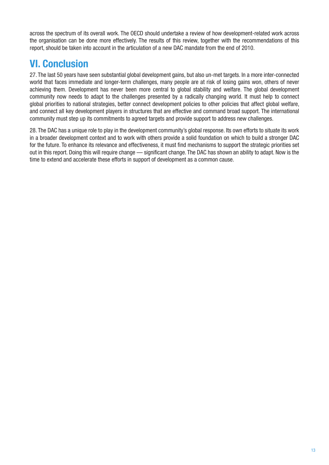across the spectrum of its overall work. The OECD should undertake a review of how development-related work across the organisation can be done more effectively. The results of this review, together with the recommendations of this report, should be taken into account in the articulation of a new DAC mandate from the end of 2010.

# **VI. Conclusion**

27. The last 50 years have seen substantial global development gains, but also un-met targets. In a more inter-connected world that faces immediate and longer-term challenges, many people are at risk of losing gains won, others of never achieving them. Development has never been more central to global stability and welfare. The global development community now needs to adapt to the challenges presented by a radically changing world. It must help to connect global priorities to national strategies, better connect development policies to other policies that affect global welfare, and connect all key development players in structures that are effective and command broad support. The international community must step up its commitments to agreed targets and provide support to address new challenges.

28. The DAC has a unique role to play in the development community's global response. Its own efforts to situate its work in a broader development context and to work with others provide a solid foundation on which to build a stronger DAC for the future. To enhance its relevance and effectiveness, it must find mechanisms to support the strategic priorities set out in this report. Doing this will require change — significant change. The DAC has shown an ability to adapt. Now is the time to extend and accelerate these efforts in support of development as a common cause.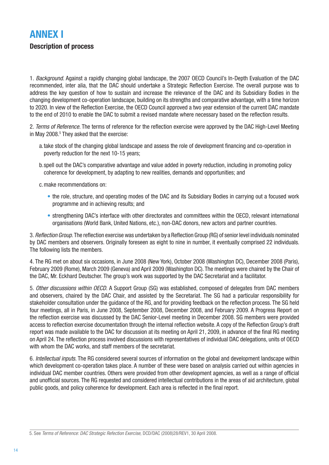### **ANNEX I Description of process**

1. *Background.* Against a rapidly changing global landscape, the 2007 OECD Council's In-Depth Evaluation of the DAC recommended, inter alia, that the DAC should undertake a Strategic Reflection Exercise. The overall purpose was to address the key question of how to sustain and increase the relevance of the DAC and its Subsidiary Bodies in the changing development co-operation landscape, building on its strengths and comparative advantage, with a time horizon to 2020. In view of the Reflection Exercise, the OECD Council approved a two year extension of the current DAC mandate to the end of 2010 to enable the DAC to submit a revised mandate where necessary based on the reflection results.

2. *Terms of Reference*. The terms of reference for the reflection exercise were approved by the DAC High-Level Meeting in May 2008.<sup>5</sup> They asked that the exercise:

- a.take stock of the changing global landscape and assess the role of development financing and co-operation in poverty reduction for the next 10-15 years;
- b.spell out the DAC's comparative advantage and value added in poverty reduction, including in promoting policy coherence for development, by adapting to new realities, demands and opportunities; and

c.make recommendations on:

- the role, structure, and operating modes of the DAC and its Subsidiary Bodies in carrying out a focused work programme and in achieving results; and
- strengthening DAC's interface with other directorates and committees within the OECD, relevant international organisations (World Bank, United Nations, etc.), non-DAC donors, new actors and partner countries.

3. Reflection Group. The reflection exercise was undertaken by a Reflection Group (RG) of senior level individuals nominated by DAC members and observers. Originally foreseen as eight to nine in number, it eventually comprised 22 individuals. The following lists the members.

4. The RG met on about six occasions, in June 2008 (New York), October 2008 (Washington DC), December 2008 (Paris), February 2009 (Rome), March 2009 (Geneva) and April 2009 (Washington DC). The meetings were chaired by the Chair of the DAC, Mr. Eckhard Deutscher. The group's work was supported by the DAC Secretariat and a facilitator.

5. *Other discussions within OECD.* A Support Group (SG) was established, composed of delegates from DAC members and observers, chaired by the DAC Chair, and assisted by the Secretariat. The SG had a particular responsibility for stakeholder consultation under the guidance of the RG, and for providing feedback on the reflection process. The SG held four meetings, all in Paris, in June 2008, September 2008, December 2008, and February 2009. A Progress Report on the reflection exercise was discussed by the DAC Senior-Level meeting in December 2008. SG members were provided access to reflection exercise documentation through the internal reflection website. A copy of the Reflection Group's draft report was made available to the DAC for discussion at its meeting on April 21, 2009, in advance of the final RG meeting on April 24. The reflection process involved discussions with representatives of individual DAC delegations, units of OECD with whom the DAC works, and staff members of the secretariat.

6. *Intellectual inputs.* The RG considered several sources of information on the global and development landscape within which development co-operation takes place. A number of these were based on analysis carried out within agencies in individual DAC member countries. Others were provided from other development agencies, as well as a range of official and unofficial sources. The RG requested and considered intellectual contributions in the areas of aid architecture, global public goods, and policy coherence for development. Each area is reflected in the final report.

<sup>5.</sup> See *Terms of Reference: DAC Strategic Refection Exercise,* DCD/DAC (2008)28/REV1, 30 April 2008.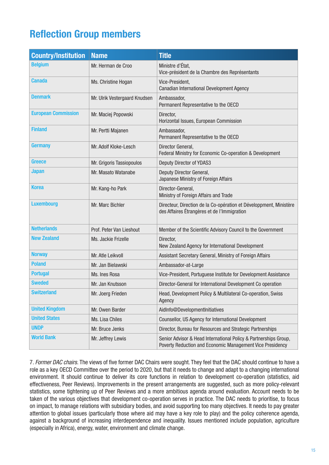# **Reflection Group members**

| <b>Country/Institution</b> | <b>Name</b>                   | <b>Title</b>                                                                                                                  |
|----------------------------|-------------------------------|-------------------------------------------------------------------------------------------------------------------------------|
| <b>Belgium</b>             | Mr. Herman de Croo            | Ministre d'État,<br>Vice-président de la Chambre des Représentants                                                            |
| <b>Canada</b>              | Ms. Christine Hogan           | Vice-President,<br>Canadian International Development Agency                                                                  |
| <b>Denmark</b>             | Mr. Ulrik Vestergaard Knudsen | Ambassador,<br>Permanent Representative to the OECD                                                                           |
| <b>European Commission</b> | Mr. Maciej Popowski           | Director,<br>Horizontal Issues, European Commission                                                                           |
| <b>Finland</b>             | Mr. Pertti Majanen            | Ambassador,<br>Permanent Representative to the OECD                                                                           |
| Germany                    | Mr. Adolf Kloke-Lesch         | Director General,<br>Federal Ministry for Economic Co-operation & Development                                                 |
| Greece                     | Mr. Grigoris Tassiopoulos     | Deputy Director of YDAS3                                                                                                      |
| <b>Japan</b>               | Mr. Masato Watanabe           | Deputy Director General,<br>Japanese Ministry of Foreign Affairs                                                              |
| Korea                      | Mr. Kang-ho Park              | Director-General,<br>Ministry of Foreign Affairs and Trade                                                                    |
| <b>Luxembourg</b>          | Mr. Marc Bichler              | Directeur, Direction de la Co-opération et Développment, Ministère<br>des Affaires Étrangères et de l'Immigration             |
| <b>Netherlands</b>         | Prof. Peter Van Lieshout      | Member of the Scientific Advisory Council to the Government                                                                   |
| <b>New Zealand</b>         | Ms. Jackie Frizelle           | Director,<br>New Zealand Agency for International Development                                                                 |
| <b>Norway</b>              | Mr. Atle Leikvoll             | Assistant Secretary General, Ministry of Foreign Affairs                                                                      |
| <b>Poland</b>              | Mr. Jan Bielawski             | Ambassador-at-Large                                                                                                           |
| <b>Portugal</b>            | Ms. Ines Rosa                 | Vice-President, Portuguese Institute for Development Assistance                                                               |
| <b>Sweded</b>              | Mr. Jan Knutsson              | Director-General for International Development Co operation                                                                   |
| <b>Switzerland</b>         | Mr. Joerg Frieden             | Head, Development Policy & Multilateral Co-operation, Swiss<br>Agency                                                         |
| <b>United Kingdom</b>      | Mr. Owen Barder               | AidInfo@DevelopmentInitiatives                                                                                                |
| <b>United States</b>       | Ms. Lisa Chiles               | Counsellor, US Agency for International Development                                                                           |
| <b>UNDP</b>                | Mr. Bruce Jenks               | Director, Bureau for Resources and Strategic Partnerships                                                                     |
| <b>World Bank</b>          | Mr. Jeffrey Lewis             | Senior Advisor & Head International Policy & Partnerships Group,<br>Poverty Reduction and Economic Management Vice Presidency |

7. *Former DAC chairs.* The views of five former DAC Chairs were sought. They feel that the DAC should continue to have a role as a key OECD Committee over the period to 2020, but that it needs to change and adapt to a changing international environment. It should continue to deliver its core functions in relation to development co-operation (statistics, aid effectiveness, Peer Reviews). Improvements in the present arrangements are suggested, such as more policy-relevant statistics, some tightening up of Peer Reviews and a more ambitious agenda around evaluation. Account needs to be taken of the various objectives that development co-operation serves in practice. The DAC needs to prioritise, to focus on impact, to manage relations with subsidiary bodies, and avoid supporting too many objectives. It needs to pay greater attention to global issues (particularly those where aid may have a key role to play) and the policy coherence agenda, against a background of increasing interdependence and inequality. Issues mentioned include population, agriculture (especially in Africa), energy, water, environment and climate change.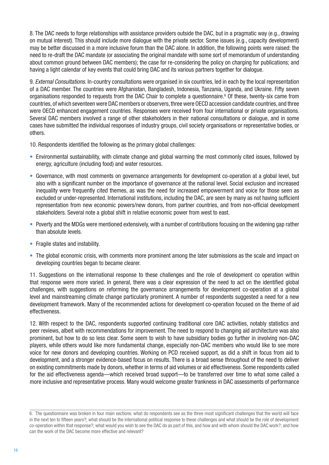8. The DAC needs to forge relationships with assistance providers outside the DAC, but in a pragmatic way (e.g., drawing on mutual interest). This should include more dialogue with the private sector. Some issues (e.g., capacity development) may be better discussed in a more inclusive forum than the DAC alone. In addition, the following points were raised: the need to re-draft the DAC mandate (or associating the original mandate with some sort of memorandum of understanding about common ground between DAC members); the case for re-considering the policy on charging for publications; and having a light calendar of key events that could bring DAC and its various partners together for dialogue.

9. *External Consultations.* In-country consultations were organised in six countries, led in each by the local representation of a DAC member. The countries were Afghanistan, Bangladesh, Indonesia, Tanzania, Uganda, and Ukraine. Fifty seven organisations responded to requests from the DAC Chair to complete a questionnaire.<sup>6</sup> Of these, twenty-six came from countries, of which seventeen were DAC members or observers, three were OECD accession candidate countries, and three were OECD enhanced engagement countries. Responses were received from four international or private organisations. Several DAC members involved a range of other stakeholders in their national consultations or dialogue, and in some cases have submitted the individual responses of industry groups, civil society organisations or representative bodies, or others.

10. Respondents identified the following as the primary global challenges:

- Environmental sustainability, with climate change and global warming the most commonly cited issues, followed by energy, agriculture (including food) and water resources.
- Governance, with most comments on governance arrangements for development co-operation at a global level, but also with a significant number on the importance of governance at the national level. Social exclusion and increased inequality were frequently cited themes, as was the need for increased empowerment and voice for those seen as excluded or under-represented. International institutions, including the DAC, are seen by many as not having sufficient representation from new economic powers/new donors, from partner countries, and from non-official development stakeholders. Several note a global shift in relative economic power from west to east.
- Poverty and the MDGs were mentioned extensively, with a number of contributions focusing on the widening gap rather than absolute levels.
- Fragile states and instability.
- The global economic crisis, with comments more prominent among the later submissions as the scale and impact on developing countries began to became clearer.

11. Suggestions on the international response to these challenges and the role of development co operation within that response were more varied. In general, there was a clear expression of the need to act on the identified global challenges, with suggestions on reforming the governance arrangements for development co-operation at a global level and mainstreaming climate change particularly prominent. A number of respondents suggested a need for a new development framework. Many of the recommended actions for development co-operation focused on the theme of aid effectiveness.

12. With respect to the DAC, respondents supported continuing traditional core DAC activities, notably statistics and peer reviews, albeit with recommendations for improvement. The need to respond to changing aid architecture was also prominent, but how to do so less clear. Some seem to wish to have subsidiary bodies go further in involving non-DAC players, while others would like more fundamental change, especially non-DAC members who would like to see more voice for new donors and developing countries. Working on PCD received support, as did a shift in focus from aid to development, and a stronger evidence-based focus on results. There is a broad sense throughout of the need to deliver on existing commitments made by donors, whether in terms of aid volumes or aid effectiveness. Some respondents called for the aid effectiveness agenda—which received broad support—to be transferred over time to what some called a more inclusive and representative process. Many would welcome greater frankness in DAC assessments of performance

<sup>6.</sup> The questionnaire was broken in four main sections: what do respondents see as the three most significant challenges that the world will face in the next ten to fifteen years?; what should be the international political response to these challenges and what should be the role of development co-operation within that response?; what would you wish to see the DAC do as part of this, and how and with whom should the DAC work?; and how can the work of the DAC become more effective and relevant?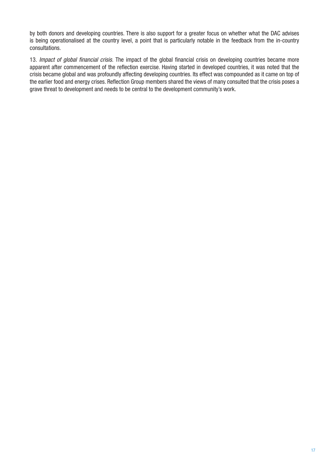by both donors and developing countries. There is also support for a greater focus on whether what the DAC advises is being operationalised at the country level, a point that is particularly notable in the feedback from the in-country consultations.

13. Impact of global financial crisis. The impact of the global financial crisis on developing countries became more apparent after commencement of the reflection exercise. Having started in developed countries, it was noted that the crisis became global and was profoundly affecting developing countries. Its effect was compounded as it came on top of the earlier food and energy crises. Reflection Group members shared the views of many consulted that the crisis poses a grave threat to development and needs to be central to the development community's work.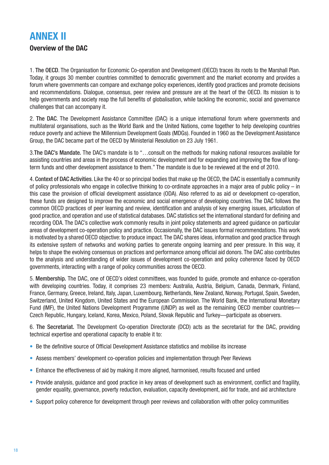### **ANNEX II**

### **Overview of the DAC**

1. The OECD. The Organisation for Economic Co-operation and Development (OECD) traces its roots to the Marshall Plan. Today, it groups 30 member countries committed to democratic government and the market economy and provides a forum where governments can compare and exchange policy experiences, identify good practices and promote decisions and recommendations. Dialogue, consensus, peer review and pressure are at the heart of the OECD. Its mission is to help governments and society reap the full benefits of globalisation, while tackling the economic, social and governance challenges that can accompany it.

2. The DAC. The Development Assistance Committee (DAC) is a unique international forum where governments and multilateral organisations, such as the World Bank and the United Nations, come together to help developing countries reduce poverty and achieve the Millennium Development Goals (MDGs). Founded in 1960 as the Development Assistance Group, the DAC became part of the OECD by Ministerial Resolution on 23 July 1961.

3.The DAC's Mandate. The DAC's mandate is to "…consult on the methods for making national resources available for assisting countries and areas in the process of economic development and for expanding and improving the flow of longterm funds and other development assistance to them." The mandate is due to be reviewed at the end of 2010.

4. Context of DAC Activities. Like the 40 or so principal bodies that make up the OECD, the DAC is essentially a community of policy professionals who engage in collective thinking to co-ordinate approaches in a major area of public policy – in this case the provision of official development assistance (ODA). Also referred to as aid or development co-operation, these funds are designed to improve the economic and social emergence of developing countries. The DAC follows the common OECD practices of peer learning and review, identification and analysis of key emerging issues, articulation of good practice, and operation and use of statistical databases. DAC statistics set the international standard for defining and recording ODA. The DAC's collective work commonly results in joint policy statements and agreed guidance on particular areas of development co-operation policy and practice. Occasionally, the DAC issues formal recommendations. This work is motivated by a shared OECD objective: to produce impact. The DAC shares ideas, information and good practice through its extensive system of networks and working parties to generate ongoing learning and peer pressure. In this way, it helps to shape the evolving consensus on practices and performance among official aid donors. The DAC also contributes to the analysis and understanding of wider issues of development co-operation and policy coherence faced by OECD governments, interacting with a range of policy communities across the OECD.

5. Membership. The DAC, one of OECD's oldest committees, was founded to guide, promote and enhance co-operation with developing countries. Today, it comprises 23 members: Australia, Austria, Belgium, Canada, Denmark, Finland, France, Germany, Greece, Ireland, Italy, Japan, Luxembourg, Netherlands, New Zealand, Norway, Portugal, Spain, Sweden, Switzerland, United Kingdom, United States and the European Commission. The World Bank, the International Monetary Fund (IMF), the United Nations Development Programme (UNDP) as well as the remaining OECD member countries— Czech Republic, Hungary, Iceland, Korea, Mexico, Poland, Slovak Republic and Turkey—participate as observers.

6. The Secretariat. The Development Co-operation Directorate (DCD) acts as the secretariat for the DAC, providing technical expertise and operational capacity to enable it to:

- Be the definitive source of Official Development Assistance statistics and mobilise its increase
- Assess members' development co-operation policies and implementation through Peer Reviews
- Enhance the effectiveness of aid by making it more aligned, harmonised, results focused and untied
- Provide analysis, guidance and good practice in key areas of development such as environment, conflict and fragility, gender equality, governance, poverty reduction, evaluation, capacity development, aid for trade, and aid architecture
- Support policy coherence for development through peer reviews and collaboration with other policy communities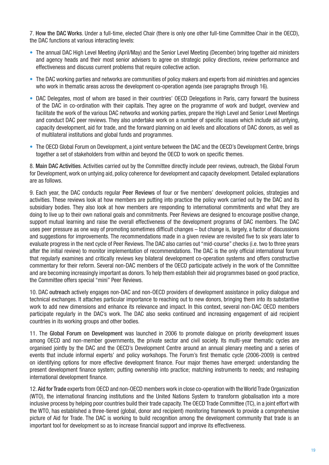7. How the DAC Works. Under a full-time, elected Chair (there is only one other full-time Committee Chair in the OECD), the DAC functions at various interacting levels:

- The annual DAC High Level Meeting (April/May) and the Senior Level Meeting (December) bring together aid ministers and agency heads and their most senior advisers to agree on strategic policy directions, review performance and effectiveness and discuss current problems that require collective action.
- The DAC working parties and networks are communities of policy makers and experts from aid ministries and agencies who work in thematic areas across the development co-operation agenda (see paragraphs through 16).
- DAC Delegates, most of whom are based in their countries' OECD Delegations in Paris, carry forward the business of the DAC in co-ordination with their capitals. They agree on the programme of work and budget, overview and facilitate the work of the various DAC networks and working parties, prepare the High Level and Senior Level Meetings and conduct DAC peer reviews. They also undertake work on a number of specific issues which include aid untying, capacity development, aid for trade, and the forward planning on aid levels and allocations of DAC donors, as well as of multilateral institutions and global funds and programmes.
- The OECD Global Forum on Development, a joint venture between the DAC and the OECD's Development Centre, brings •together a set of stakeholders from within and beyond the OECD to work on specific themes.

8. Main DAC Activities. Activities carried out by the Committee directly include peer reviews, outreach, the Global Forum for Development, work on untying aid, policy coherence for development and capacity development. Detailed explanations are as follows.

9. Each year, the DAC conducts regular Peer Reviews of four or five members' development policies, strategies and activities. These reviews look at how members are putting into practice the policy work carried out by the DAC and its subsidiary bodies. They also look at how members are responding to international commitments and what they are doing to live up to their own national goals and commitments. Peer Reviews are designed to encourage positive change, support mutual learning and raise the overall effectiveness of the development programs of DAC members. The DAC uses peer pressure as one way of promoting sometimes difficult changes – but change is, largely, a factor of discussions and suggestions for improvements. The recommendations made in a given review are revisited five to six years later to evaluate progress in the next cycle of Peer Reviews. The DAC also carries out "mid-course" checks (i.e. two to three years after the initial review) to monitor implementation of recommendations. The DAC is the only official international forum that regularly examines and critically reviews key bilateral development co-operation systems and offers constructive commentary for their reform. Several non-DAC members of the OECD participate actively in the work of the Committee and are becoming increasingly important as donors. To help them establish their aid programmes based on good practice, the Committee offers special "mini" Peer Reviews.

10. DAC outreach actively engages non-DAC and non-OECD providers of development assistance in policy dialogue and technical exchanges. It attaches particular importance to reaching out to new donors, bringing them into its substantive work to add new dimensions and enhance its relevance and impact. In this context, several non-DAC OECD members participate regularly in the DAC's work. The DAC also seeks continued and increasing engagement of aid recipient countries in its working groups and other bodies.

11. The Global Forum on Development was launched in 2006 to promote dialogue on priority development issues among OECD and non-member governments, the private sector and civil society. Its multi-year thematic cycles are organised jointly by the DAC and the OECD's Development Centre around an annual plenary meeting and a series of events that include informal experts' and policy workshops. The Forum's first thematic cycle (2006-2009) is centred on identifying options for more effective development finance. Four major themes have emerged: understanding the present development finance system; putting ownership into practice; matching instruments to needs; and reshaping international development finance.

12. Aid for Trade experts from OECD and non-OECD members work in close co-operation with the World Trade Organization (WTO), the international financing institutions and the United Nations System to transform globalisation into a more inclusive process by helping poor countries build their trade capacity. The OECD Trade Committee (TC), in a joint effort with the WTO, has established a three-tiered (global, donor and recipient) monitoring framework to provide a comprehensive picture of Aid for Trade. The DAC is working to build recognition among the development community that trade is an important tool for development so as to increase financial support and improve its effectiveness.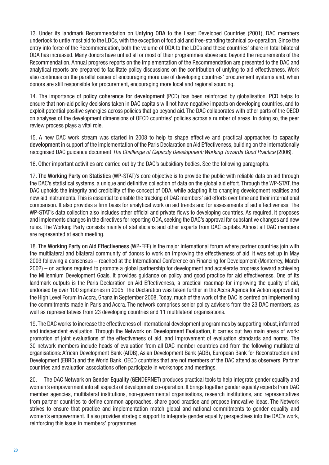13. Under its landmark Recommendation on Untying ODA to the Least Developed Countries (2001), DAC members undertook to untie most aid to the LDCs, with the exception of food aid and free-standing technical co-operation. Since the entry into force of the Recommendation, both the volume of ODA to the LDCs and these countries' share in total bilateral ODA has increased. Many donors have untied all or most of their programmes above and beyond the requirements of the Recommendation. Annual progress reports on the implementation of the Recommendation are presented to the DAC and analytical reports are prepared to facilitate policy discussions on the contribution of untying to aid effectiveness. Work also continues on the parallel issues of encouraging more use of developing countries' procurement systems and, when donors are still responsible for procurement, encouraging more local and regional sourcing.

14. The importance of policy coherence for development (PCD) has been reinforced by globalisation. PCD helps to ensure that non-aid policy decisions taken in DAC capitals will not have negative impacts on developing countries, and to exploit potential positive synergies across policies that go beyond aid. The DAC collaborates with other parts of the OECD on analyses of the development dimensions of OECD countries' policies across a number of areas. In doing so, the peer review process plays a vital role.

15. A new DAC work stream was started in 2008 to help to shape effective and practical approaches to capacity development in support of the implementation of the Paris Declaration on Aid Effectiveness, building on the internationally recognised DAC quidance document The Challenge of Capacity Development: Working Towards Good Practice (2006).

16. Other important activities are carried out by the DAC's subsidiary bodies. See the following paragraphs.

17. The Working Party on Statistics (WP-STAT)'s core objective is to provide the public with reliable data on aid through the DAC's statistical systems, a unique and definitive collection of data on the global aid effort. Through the WP-STAT, the DAC upholds the integrity and credibility of the concept of ODA, while adapting it to changing development realities and new aid instruments. This is essential to enable the tracking of DAC members' aid efforts over time and their international comparison. It also provides a firm basis for analytical work on aid trends and for assessments of aid effectiveness. The WP-STAT's data collection also includes other official and private flows to developing countries. As required, it proposes and implements changes in the directives for reporting ODA, seeking the DAC's approval for substantive changes and new rules. The Working Party consists mainly of statisticians and other experts from DAC capitals. Almost all DAC members are represented at each meeting.

18. The Working Party on Aid Effectiveness (WP-EFF) is the major international forum where partner countries join with the multilateral and bilateral community of donors to work on improving the effectiveness of aid. It was set up in May 2003 following a consensus – reached at the International Conference on Financing for Development (Monterrey, March 2002) – on actions required to promote a global partnership for development and accelerate progress toward achieving the Millennium Development Goals. It provides guidance on policy and good practice for aid effectiveness. One of its landmark outputs is the Paris Declaration on Aid Effectiveness, a practical roadmap for improving the quality of aid, endorsed by over 100 signatories in 2005. The Declaration was taken further in the Accra Agenda for Action approved at the High Level Forum in Accra, Ghana in September 2008. Today, much of the work of the DAC is centred on implementing the commitments made in Paris and Accra. The network comprises senior policy advisers from the 23 DAC members, as well as representatives from 23 developing countries and 11 multilateral organisations.

19. The DAC works to increase the effectiveness of international development programmes by supporting robust, informed and independent evaluation. Through the Network on Development Evaluation, it carries out two main areas of work: promotion of joint evaluations of the effectiveness of aid, and improvement of evaluation standards and norms. The 30 network members include heads of evaluation from all DAC member countries and from the following multilateral organisations: African Development Bank (AfDB), Asian Development Bank (ADB), European Bank for Reconstruction and Development (EBRD) and the World Bank. OECD countries that are not members of the DAC attend as observers. Partner countries and evaluation associations often participate in workshops and meetings.

20. The DAC Network on Gender Equality (GENDERNET) produces practical tools to help integrate gender equality and women's empowerment into all aspects of development co-operation. It brings together gender equality experts from DAC member agencies, multilateral institutions, non-governmental organisations, research institutions, and representatives from partner countries to define common approaches, share good practice and propose innovative ideas. The Network strives to ensure that practice and implementation match global and national commitments to gender equality and women's empowerment. It also provides strategic support to integrate gender equality perspectives into the DAC's work, reinforcing this issue in members' programmes.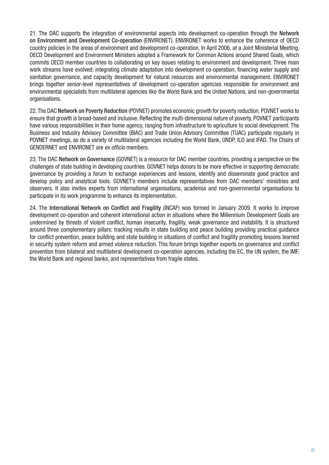21. The DAC supports the integration of environmental aspects into development co-operation through the Network on Environment and Development Co-operation (ENVIRONET). ENVIRONET works to enhance the coherence of OECD country policies in the areas of environment and development co-operation. In April 2006, at a Joint Ministerial Meeting, OECD Development and Environment Ministers adopted a Framework for Common Actions around Shared Goals, which commits OECD member countries to collaborating on key issues relating to environment and development. Three main work streams have evolved: integrating climate adaptation into development co-operation, financing water supply and sanitation governance, and capacity development for natural resources and environmental management. ENVIRONET brings together senior-level representatives of development co-operation agencies responsible for environment and environmental specialists from multilateral agencies like the World Bank and the United Nations, and non-governmental organisations.

22. The DAC Network on Poverty Reduction (POVNET) promotes economic growth for poverty reduction. POVNET works to ensure that growth is broad-based and inclusive. Reflecting the multi-dimensional nature of poverty, POVNET participants have various responsibilities in their home agency, ranging from infrastructure to agriculture to social development. The Business and Industry Advisory Committee (BIAC) and Trade Union Advisory Committee (TUAC) participate regularly in POVNET meetings, as do a variety of multilateral agencies including the World Bank, UNDP, ILO and IFAD. The Chairs of GENDERNET and ENVIRONET are ex officio members.

23. The DAC Network on Governance (GOVNET) is a resource for DAC member countries, providing a perspective on the challenges of state building in developing countries. GOVNET helps donors to be more effective in supporting democratic governance by providing a forum to exchange experiences and lessons, identify and disseminate good practice and develop policy and analytical tools. GOVNET's members include representatives from DAC members' ministries and observers. It also invites experts from international organisations, academia and non-governmental organisations to participate in its work programme to enhance its implementation.

24. The International Network on Conflict and Fragility (INCAF) was formed in January 2009. It works to improve development co-operation and coherent international action in situations where the Millennium Development Goals are undermined by threats of violent conflict, human insecurity, fragility, weak governance and instability. It is structured around three complementary pillars: tracking results in state building and peace building providing practical guidance for conflict prevention, peace building and state building in situations of conflict and fragility promoting lessons learned in security system reform and armed violence reduction. This forum brings together experts on governance and conflict prevention from bilateral and multilateral development co-operation agencies, including the EC, the UN system, the IMF, the World Bank and regional banks, and representatives from fragile states.